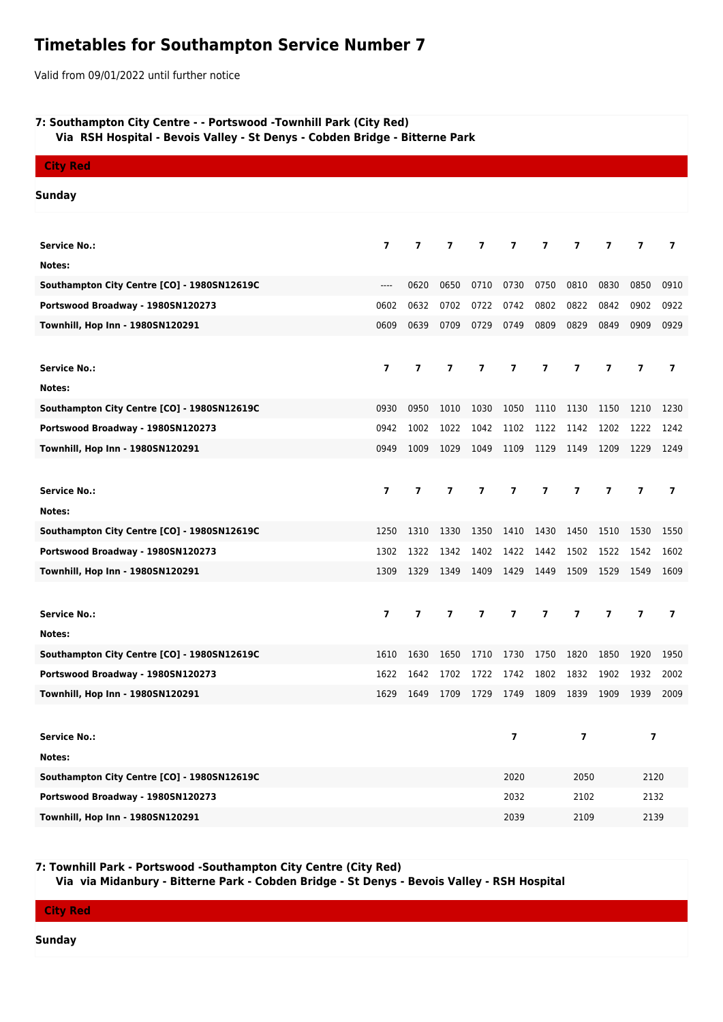## **Timetables for Southampton Service Number 7**

Valid from 09/01/2022 until further notice

## **7: Southampton City Centre - - Portswood -Townhill Park (City Red)**

 **Via RSH Hospital - Bevois Valley - St Denys - Cobden Bridge - Bitterne Park**

| <b>City Red</b>                             |                         |                |                          |                          |                          |                         |                          |                |                |                          |  |
|---------------------------------------------|-------------------------|----------------|--------------------------|--------------------------|--------------------------|-------------------------|--------------------------|----------------|----------------|--------------------------|--|
| <b>Sunday</b>                               |                         |                |                          |                          |                          |                         |                          |                |                |                          |  |
|                                             |                         |                |                          |                          |                          |                         |                          |                |                |                          |  |
| <b>Service No.:</b>                         | $\overline{\mathbf{z}}$ | $\overline{7}$ | $\overline{ }$           | $\overline{\phantom{a}}$ | $\overline{ }$           | 7                       | 7                        | $\overline{7}$ | $\overline{7}$ | 7                        |  |
| Notes:                                      |                         |                |                          |                          |                          |                         |                          |                |                |                          |  |
| Southampton City Centre [CO] - 1980SN12619C | $---$                   | 0620           | 0650                     | 0710                     | 0730                     | 0750                    | 0810                     | 0830           | 0850           | 0910                     |  |
| Portswood Broadway - 1980SN120273           | 0602                    | 0632           | 0702                     | 0722                     | 0742                     | 0802                    | 0822                     | 0842           | 0902           | 0922                     |  |
| Townhill, Hop Inn - 1980SN120291            | 0609                    | 0639           | 0709                     | 0729                     | 0749                     | 0809                    | 0829                     | 0849           | 0909           | 0929                     |  |
|                                             |                         |                |                          |                          |                          |                         |                          |                |                |                          |  |
| <b>Service No.:</b>                         | $\overline{ }$          | $\overline{ }$ | 7                        | $\overline{\phantom{a}}$ | $\overline{ }$           | $\overline{7}$          | $\overline{7}$           | $\overline{7}$ | $\overline{7}$ | $\overline{\phantom{a}}$ |  |
| Notes:                                      |                         |                |                          |                          |                          |                         |                          |                |                |                          |  |
| Southampton City Centre [CO] - 1980SN12619C | 0930                    | 0950           | 1010                     | 1030                     | 1050                     | 1110                    | 1130                     | 1150           | 1210           | 1230                     |  |
| Portswood Broadway - 1980SN120273           | 0942                    | 1002           | 1022                     | 1042                     | 1102                     | 1122                    | 1142                     | 1202           | 1222           | 1242                     |  |
| Townhill, Hop Inn - 1980SN120291            | 0949                    | 1009           | 1029                     | 1049                     | 1109                     | 1129                    | 1149                     | 1209           | 1229           | 1249                     |  |
|                                             |                         |                |                          |                          |                          |                         |                          |                |                |                          |  |
| <b>Service No.:</b>                         | $\overline{\mathbf{z}}$ | $\overline{7}$ | $\overline{7}$           | $\overline{7}$           | $\overline{ }$           | $\overline{7}$          | $\overline{7}$           | $\overline{7}$ | $\overline{7}$ | $\overline{ }$           |  |
| Notes:                                      |                         |                |                          |                          |                          |                         |                          |                |                |                          |  |
| Southampton City Centre [CO] - 1980SN12619C | 1250                    | 1310           | 1330                     | 1350                     | 1410                     | 1430                    | 1450                     | 1510           | 1530           | 1550                     |  |
| Portswood Broadway - 1980SN120273           | 1302                    | 1322           | 1342                     | 1402                     | 1422                     | 1442                    | 1502                     | 1522           | 1542           | 1602                     |  |
| Townhill, Hop Inn - 1980SN120291            | 1309                    | 1329           | 1349                     | 1409                     | 1429                     | 1449                    | 1509                     | 1529           | 1549           | 1609                     |  |
|                                             |                         |                |                          |                          |                          |                         |                          |                |                |                          |  |
| <b>Service No.:</b>                         | 7                       | $\overline{ }$ | $\overline{\phantom{a}}$ | 7                        | $\overline{\phantom{a}}$ | $\overline{\mathbf{z}}$ | $\overline{\phantom{a}}$ | $\overline{ }$ | $\overline{7}$ | $\overline{ }$           |  |
| Notes:                                      |                         |                |                          |                          |                          |                         |                          |                |                |                          |  |
| Southampton City Centre [CO] - 1980SN12619C | 1610                    | 1630           | 1650                     | 1710                     | 1730                     | 1750                    | 1820                     | 1850           | 1920           | 1950                     |  |
| Portswood Broadway - 1980SN120273           | 1622                    | 1642           | 1702                     | 1722                     | 1742                     | 1802                    | 1832                     | 1902           | 1932           | 2002                     |  |
| Townhill, Hop Inn - 1980SN120291            | 1629                    | 1649           | 1709                     | 1729                     | 1749                     | 1809                    | 1839                     | 1909           | 1939           | 2009                     |  |
|                                             |                         |                |                          |                          |                          |                         |                          |                |                |                          |  |
| <b>Service No.:</b>                         |                         |                |                          |                          | $\overline{7}$           | $\overline{7}$          |                          | $\overline{7}$ |                |                          |  |
| Notes:                                      |                         |                |                          |                          |                          |                         |                          |                |                |                          |  |
| Southampton City Centre [CO] - 1980SN12619C |                         |                |                          |                          | 2020                     |                         | 2050                     |                | 2120           |                          |  |
| Portswood Broadway - 1980SN120273           |                         |                |                          |                          | 2032                     | 2102                    |                          |                | 2132           |                          |  |
| Townhill, Hop Inn - 1980SN120291            |                         |                |                          |                          | 2039                     |                         | 2109                     |                |                | 2139                     |  |

**7: Townhill Park - Portswood -Southampton City Centre (City Red)**

 **Via via Midanbury - Bitterne Park - Cobden Bridge - St Denys - Bevois Valley - RSH Hospital**

**City Red**

**Sunday**